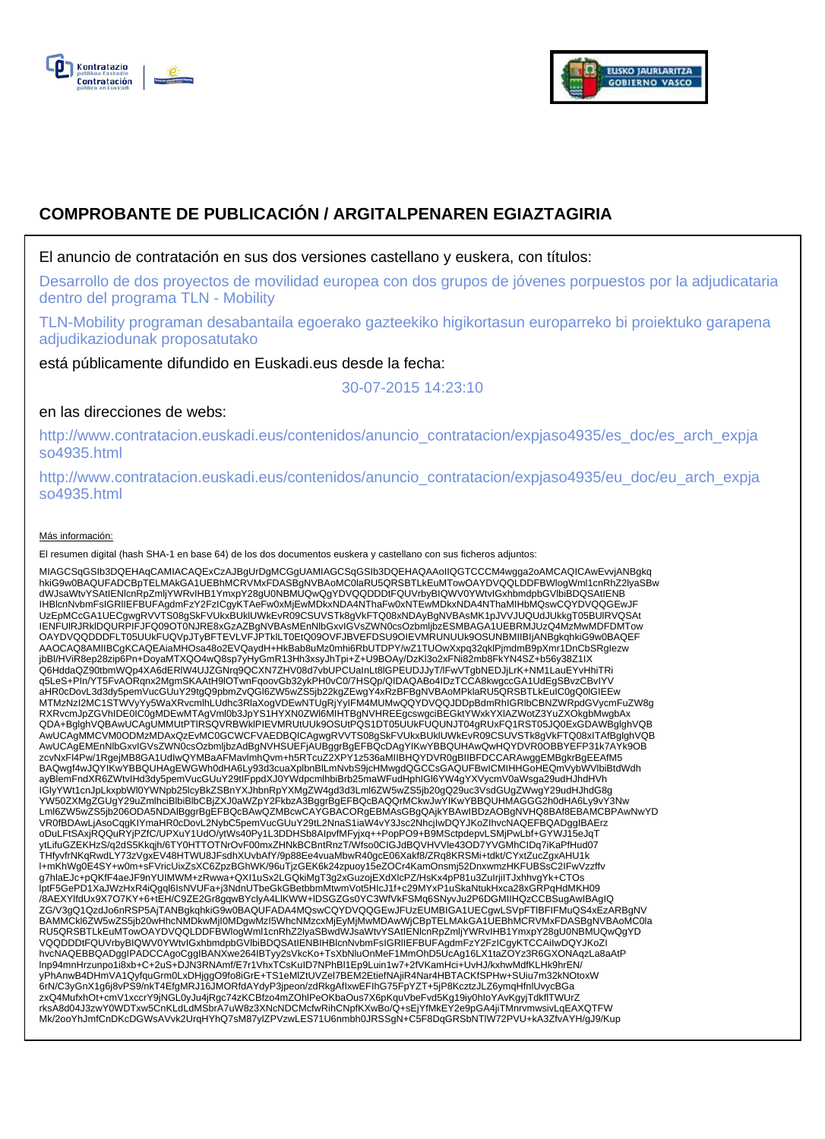



# **COMPROBANTE DE PUBLICACIÓN / ARGITALPENAREN EGIAZTAGIRIA**

El anuncio de contratación en sus dos versiones castellano y euskera, con títulos:

Desarrollo de dos proyectos de movilidad europea con dos grupos de jóvenes porpuestos por la adjudicataria dentro del programa TLN - Mobility

TLN-Mobility programan desabantaila egoerako gazteekiko higikortasun europarreko bi proiektuko garapena adjudikaziodunak proposatutako

está públicamente difundido en Euskadi.eus desde la fecha:

30-07-2015 14:23:10

# en las direcciones de webs:

http://www.contratacion.euskadi.eus/contenidos/anuncio\_contratacion/expjaso4935/es\_doc/es\_arch\_expja so4935.html

http://www.contratacion.euskadi.eus/contenidos/anuncio\_contratacion/expjaso4935/eu\_doc/eu\_arch\_expja so4935.html

### Más información:

El resumen digital (hash SHA-1 en base 64) de los dos documentos euskera y castellano con sus ficheros adjuntos:

MIAGCSqGSIb3DQEHAqCAMIACAQExCzAJBgUrDgMCGgUAMIAGCSqGSIb3DQEHAQAAoIIQGTCCCM4wgga2oAMCAQICAwEvvjANBgkq hkiG9w0BAQUFADCBpTELMAkGA1UEBhMCRVMxFDASBgNVBAoMC0laRU5QRSBTLkEuMTowOAYDVQQLDDFBWlogWml1cnRhZ2lyaSBw dWJsaWtvYSAtIENlcnRpZmljYWRvIHB1YmxpY28gU0NBMUQwQgYDVQQDDDtFQUVrbyBIQWV0YWtvIGxhbmdpbGVlbiBDQSAtIENB IHBlcnNvbmFsIGRlIEFBUFAgdmFzY2FzICgyKTAeFw0xMjEwMDkxNDA4NThaFw0xNTEwMDkxNDA4NThaMIHbMQswCQYDVQQGEwJF UzEpMCcGA1UECgwgRVVTS08gSkFVUkxBUklUWkEvR09CSUVSTk8gVkFTQ08xNDAyBgNVBAsMK1pJVVJUQUdJUkkgT05BUlRVQSAt IENFUlRJRklDQURPIFJFQ09OT0NJRE8xGzAZBgNVBAsMEnNlbGxvIGVsZWN0csOzbmljbzESMBAGA1UEBRMJUzQ4MzMwMDFDMTow OAYDVQQDDDFLT05UUkFUQVpJTyBFTEVLVFJPTklLT0EtQ09OVFJBVEFDSU9OIEVMRUNUUk9OSUNBMIIBIjANBgkqhkiG9w0BAQEF AAOCAQ8AMIIBCgKCAQEAiaMHOsa48o2EVQaydH+HkBab8uMz0mhi6RbUTDPY/wZ1TUOwXxpq32qklPjmdmB9pXmr1DnCbSRgIezw jbBl/HViR8ep28zip6Pn+DoyaMTXQO4wQ8sp7yHyGmR13Hh3xsyJhTpi+Z+U9BOAy/DzKl3o2xFNi82mb8FkYN4SZ+b56y38Z1IX<br>Q6HddaQZ90tbmWQp4XA6dERlW4UJZGNrq9QCXN7ZHV08d7vbUPCUaInLt8lGPEUDJJyT/lFwVTgbNEDJjLrK+NM1LauEYvHhiTRi q5LeS+PIn/YT5FvAORqnx2MgmSKAAtH9lOTwnFqoovGb32ykPH0vC0/7HSQp/QIDAQABo4IDzTCCA8kwgccGA1UdEgSBvzCBvIYV<br>aHR0cDovL3d3dy5pemVucGUuY29tgQ9pbmZvQGl6ZW5wZS5jb22kgZEwgY4xRzBFBgNVBAoMPklaRU5QRSBTLkEuIC0gQ0lGIEEw MTMzNzI2MC1STWVyYy5WaXRvcmlhLUdhc3RlaXogVDEwNTUgRjYyIFM4MUMwQQYDVQQJDDpBdmRhIGRlbCBNZWRpdGVycmFuZW8g RXRvcmJpZGVhIDE0IC0gMDEwMTAgVml0b3JpYS1HYXN0ZWl6MIHTBgNVHREEgcswgciBEGktYWxkYXlAZWotZ3YuZXOkgbMwgbAx QDA+BglghVQBAwUCAgUMMUtPTlRSQVRBWklPIEVMRUtUUk9OSUtPQS1DT05UUkFUQUNJT04gRUxFQ1RST05JQ0ExGDAWBglghVQB AwUCAgMMCVM0ODMzMDAxQzEvMC0GCWCFVAEDBQICAgwgRVVTS08gSkFVUkxBUklUWkEvR09CSUVSTk8gVkFTQ08xITAfBglghVQB AwUCAgEMEnNIbGxvIGVsZWN0csOzbmljbzAdBgNVHSUEFjAUBggrBgEFBQcDAgYIKwYBBQUHAwQwHQYDVR0OBBYEFP31k7AYk9OB<br>zcvNxFl4Pw/1RgejMB8GA1UdIwQYMBaAFMavImhQvm+h5RTcuZ2XPY1z536aMIIBHQYDVR0gBIIBFDCCARAwggEMBgkrBgEEAfM5 BAQwgf4wJQYIKwYBBQUHAgEWGWh0dHA6Ly93d3cuaXplbnBlLmNvbS9jcHMwgdQGCCsGAQUFBwICMIHHGoHEQmVybWVlbiBtdWdh ayBlemFndXR6ZWtvIHd3dy5pemVucGUuY29tIFppdXJ0YWdpcmlhbiBrb25maWFudHphIGl6YW4gYXVycmV0aWsga29udHJhdHVh IGlyYWt1cnJpLkxpbWl0YWNpb25lcyBkZSBnYXJhbnRpYXMgZW4gd3d3Lml6ZW5wZS5jb20gQ29uc3VsdGUgZWwgY29udHJhdG8g YW50ZXMgZGUgY29uZmlhciBlbiBlbCBjZXJ0aWZpY2FkbzA3BggrBgEFBQcBAQQrMCkwJwYIKwYBBQUHMAGGG2h0dHA6Ly9vY3Nw Lml6ZW5wZS5jb206ODA5NDAlBggrBgEFBQcBAwQZMBcwCAYGBACORgEBMAsGBgQAjkYBAwIBDzAOBgNVHQ8BAf8EBAMCBPAwNwYD VR0fBDAwLjAsoCqgKIYmaHR0cDovL2NybC5pemVucGUuY29tL2NnaS1iaW4vY3Jsc2NhcjIwDQYJKoZIhvcNAQEFBQADggIBAErz oDuLFtSAxjRQQuRYjPZfC/UPXuY1UdO/ytWs40Py1L3DDHSb8AlpvfMFyjxq++PopPO9+B9MSctpdepvLSMjPwLbf+GYWJ15eJqT<br>ytLifuGZEKHzS/q2dS5Kkqjh/6TY0HTTOTNrOvF00mxZHNkBCBntRnzT/Wfso0CIGJdBQVHVVle43OD7YVGMhCIDq7iKaPfHud07 THfyvfrNKqRwdLY73zVgxEV48HTWU8JFsdhXUvbAfY/9p88Ee4vuaMbwR40gcE06Xakf8/ZRq8KRSMi+tdkt/CYxtZucZgxAHU1k l+mKhWg0E4SY+w0m+sFVricUixZsXC6ZpzBGhWK/96uTjzGEK6k24zpuoy15eZOCr4KamOnsmj52DnxwmzHKFUBSsC2IFwVzzffv g7hlaEJc+pQKfF4aeJF9nYUIMWM+zRwwa+QXI1uSx2LGQkiMgT3g2xGuzojEXdXlcPZ/HsKx4pP81u3ZuIrjiITJxhhvgYk+CTOs<br>lptF5GePD1XaJWzHxR4iQgql6IsNVUFa+j3NdnUTbeGkGBetbbmMtwmVot5HlcJ1f+c29MYxP1uSkaNtukHxca28xGRPqHdMKH09 /8AEXYlfdUx9X7O7KY+6+tEH/C9ZE2Gr8gqwBYclyA4LlKWW+lDSGZGs0YC3WfVkFSMq6SNyvJu2P6DGMIIHQzCCBSugAwIBAgIQ ZG/V3gQ1QzdJo6nRSP5AjTANBgkqhkiG9w0BAQUFADA4MQswCQYDVQQGEwJFUzEUMBIGA1UECgwLSVpFTlBFIFMuQS4xEzARBgNV BAMMCkl6ZW5wZS5jb20wHhcNMDkwMjI0MDgwMzI5WhcNMzcxMjEyMjMwMDAwWjCBpTELMAkGA1UEBhMCRVMxFDASBgNVBAoMC0la RU5QRSBTLkEuMTowOAYDVQQLDDFBWlogWml1cnRhZ2lyaSBwdWJsaWtvYSAtIENlcnRpZmljYWRvIHB1YmxpY28gU0NBMUQwQgYD VQQDDDtFQUVrbyBIQWV0YWtvIGxhbmdpbGVlbiBDQSAtIENBIHBlcnNvbmFsIGRIIEFBUFAgdmFzY2FzICgyKTCCAiIwDQYJKoZI<br>hvcNAQEBBQADggIPADCCAgoCggIBANXwe264IBTyy2sVkcKo+TsXbNluOnMeF1MmOhD5UcAg16LX1taZOYz3R6GXONAqzLa8aAtP lnp94mnHrzunpo1i8xb+C+2uS+DJN3RNAmf/E7r1VhxTCsKuID7NPhBl1Ep9Luin1w7+2fVKamHci+UvHJ/kxhwMdfKLHk9hrEN/ yPhAnwB4DHmVA1QyfquGrm0LxDHjggO9fo8iGrE+TS1eMlZtUVZel7BEM2EtiefNAjiR4Nar4HBTACKfSPHw+SUiu7m32kNOtoxW 6rN/C3yGnX1g6j8vPS9/nkT4EfgMRJ16JMORfdAYdyP3jpeon/zdRkgAfIxwEFIhG75FpYZT+5jP8KcztzJLZ6ymqHfnlUvycBGa zxQ4MufxhOt+cmV1xccrY9jNGL0yJu4jRgc74zKCBfzo4mZOhlPeOKbaOus7X6pKquVbeFvd5Kg19iy0hIoYAvKgyjTdkflTWUrZ rksA8d04J3zwY0WDTxw5CnKLdLdMSbrA7uW8z3XNcNDCMcfwRihCNpfKXwBo/Q+sEjYfMkEY2e9pGA4jiTMnrvmwsivLqEAXQTFW Mk/2ooYhJmfCnDKcDGWsAVvk2UrqHYhQ7sM87ylZPVzwLES71U6nmbh0JRSSgN+C5F8DqGRSbNTlW72PVU+kA3ZfvAYH/gJ9/Kup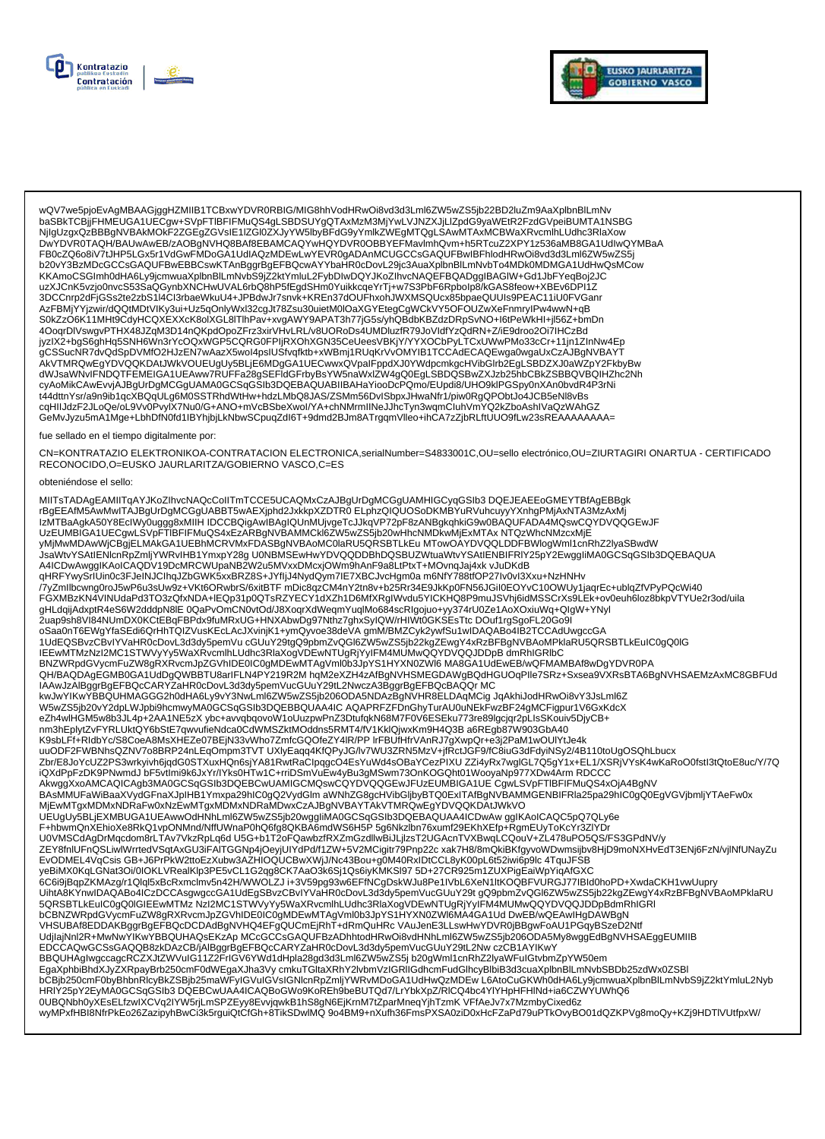



wQV7we5pjoEvAgMBAAGjggHZMIIB1TCBxwYDVR0RBIG/MIG8hhVodHRwOi8vd3d3Lml6ZW5wZS5jb22BD2luZm9AaXplbnBlLmNv www.you.com/account/state/state/state/state/state/state/state/state/state/state/state/state/state/state/state/<br>https://www.you.com/account/state/state/state/state/state/state/state/state/state/state/state/peiBUMTA1NSBG<br>DwY FB0cZQ6o8iV7tJHP5LGx5r1VdGwFMDoGA1UdIAQzMDEwLwYEVR0gADAnMCUGCCsGAQUFBwIBFhlodHRwOi8vd3d3Lml6ZW5wZS5j b20vY3BzMDcGCCsGAQUFBwEBBCswKTAnBggrBgEFBQcwAYYbaHR0cDovL29jc3AuaXplbnBlLmNvbTo4MDk0MDMGA1UdHwQsMCow KKAmoCSGImh0dHA6Ly9jcmwuaXplbnBlLmNvbS9jZ2ktYmluL2FybDIwDQYJKoZIhvcNAQEFBQADggIBAGIW+Gd1JbFYeqBoj2JC uzXJCnK5vzjo0nvcS53SaQGynbXNCHwUVAL6rbQ8hP5fEgdSHm0YuikkcqeYrTj+w7S3PbF6Rpbolp8/kGAS8feow+XBEv6DPI1Z 3DCCnrp2dFjGSs2te2zbS1l4Cl3rbaeWkuU4+JPBdwJr7snvk+KREn37dOUFhxohJWXMSQUcx85bpaeQUUIs9PEAC11iU0FVGanr 42FBMjYYjzwir/dQQtMDtVlKy3ui+Uz5qOnlyWxl32cgJt78Zsu30uietM0lOaXGYEtegCgWCkVY5OFOUZwXeFnmrylPw4wwN+qB jyzlX2+bgS6ghHq5SNH6Wn3rYcOQxWGP5CQRG0FPIjRXOhXGN35CeUeesVBKjY/YYXOCbPyLTCxUWwPMo33cCr+11jn1ZlnNw4Ep ...<br>gCSSucNR7dvQdSpDVMfO2HJzEN7wAazX5wol4psIUSfvqfktb+xWBmj1RUqKrVvOMYIB1TCCAdECAQEwga0wgaUxCzAJBgNVBAY NOW THE MEDITION OF THE MELTIMATE SUPPORT THE MELTIMATE OF THE MELTIMATE THE CONDUCT OF THE MELTIMATE SUPPORT OF THE MELTIMATE OF THE MELTIMATE OF THE MELTIMATE OF THE MELTIMATE OF THE MELTIMATE OF THE MELTIMATE OF THE MEL cqHIIJdzF2JLoQe/oL9Vv0PvyIX7Nu0/G+ANO+mVcBSbeXwol/YA+chNMrmIINeJJhcTyn3wqmCluhVmYQ2kZboAshIVaQzWAhGZ GeMvJyzu5mA1Mge+LbhDfN0fd1IBYhjbjLkNbwSCpuqZdl6T+9dmd2BJm8ATrgqmVlleo+ihCA7zZjbRLftUUO9fLw23sREAAAAAAAA=

#### fue sellado en el tiempo digitalmente por:

CN=KONTRATAZIO ELEKTRONIKOA-CONTRATACION ELECTRONICA,serialNumber=S4833001C,OU=sello electrónico,OU=ZIURTAGIRI ONARTUA - CERTIFICADO RECONOCIDO, O=EUSKO JAURLARITZA/GOBIERNO VASCO, C=ES

#### obteniéndose el sello:

MIITsTADAgEAMIITqAYJKoZIhvcNAQcCoIITmTCCE5UCAQMxCzAJBgUrDgMCGgUAMHIGCyqGSIb3DQEJEAEEoGMEYTBfAgEBBgk rBgEEAfM5AwMwlTAJBgUrDgMCGgUABBT5wAEXjphd2JxkkpXZDTR0ELphzQIQUOSoDKMBYuRVuhcuyyYXnhgPMjAxNTA3MzAxMj ical minister (March 2002) - αποτελεί του προσπαθμού της επιτρεπειακός του επιτρεπειακό του αναγκεινο του κατα<br>Παλλαπτικού του προσπαθεί του επιτρεπειακού του προσπαθμού του επιτρεπειακού του αποτελεί του ανακοίνου του τ .<br>JsaWtvYSAtlENicnRpZmijYWRvIHB1YmxpY28g U0NBMSEwHwYDVQQDDBhDQSBUZWtuaWtvYSAtlENBIFRIY25pY2EwggliMA0GCSqGSIb3DQEBAQUA A4ICDwAwggIKAoICAQDV19DcMRCWUpaNB2W2u5MVxxDMcxjOWm9hAnF9a8LtPtxT+MOvnqJaj4xk vJuDKdB qHRFYwySrIUin0c3FJeINJCIhqJZbGWK5xxBRZ8S+JYfljJ4NydQym7IE7XBCJvcHgm0a m6NfY788tfOP27Iv0vl3Xxu+NzHNHv The High Hollowing of the Sandway Annual Construction of the Sandway of the Construction of the Construction of the Construction of the Construction of the Construction of the Construction of the Construction of the Constr PullaqijAdxprR4eS6W2dddpN8lE 0QaPvOmCN0vtOd/J8XoqrXdWeqmYuqlMo684scRlgojuo+yy374rU0Ze1AoXOxiuWq+QlgW+YNyl<br>2uap9sh8Vl84NUmDX0KCtEBqFBPdx9fuMRxUG+HNXAbwDg97Nthz7ghxSylQW/rHlWt0GKSEsTtc DOuf1rgSgoFL20Go9l IEEwMTMzNzI2MC1STWVyYy5WaXRvcmlhLUdhc3RlaXogVDEwNTUgRjYyIFM4MUMwQQYDVQQJDDpB dmRhIGRlbC BNZWRpdGVycmFuZW8gRXRvcmJpZGVhIDE0IC0gMDEwMTAgVml0b3JpYS1HYXN0ZWl6MA8GA1UdEwEB/wQFMAMBAf8wDgYDVR0PA QH/BAQDAgEGMB0GA1UdDgQWBBTU8arIFLN4PY219R2MhqM2eXZH4zAfBgNVHSMEGDAWgBQdHGUOqPIIe7SRz+Sxsea9VXRsBTA6BgNVHSAEMzAxMC8GBFUd IAAwJzAlBggrBgEFBQcCARYZaHR0cDovL3d3dy5pemVucGUuY29tL2NwczA3BggrBgEFBQcBAQQr MC nm3hEplytZvFYRLUktQY6bStE7qwvufieNdca0CdWMSZktMOddns5RMT4/fV1KklQjwxKm9H4Q3B a6REgb87W903GbA40 K9sbLFf+RldbYc/S8CoeA8MsXHEZe07BEjN33vWho7ZmfcGQOfeZY4lR/PP IrFBUfHfrVAnRJ7gXwpQr+e3j2PaM1wOUlYtJe4k uuODF2FWBNhsQZNV7o8BRP24nLEqOmpm3TVTUXIyEaqq4KfQPyJG/lv7WU3ZRN5MzV+jfRctJGF9/fC8iuG3dFdyiNSy2/4B110toUgOSQhLbucx Zbr/E8JoYcUZ2PS3wrkyivh6jqdG0STXuxHQn6sjYA81RwtRaClpqgcO4EsYuWd4sOBaYCezPIXU ZZi4yRx7wglGL7Q5gY1x+EL1/XSRjVYsK4wKaRoO0fstl3tQtoE8uc/Y/7Q iQXdPpFzDK9PNwmdJbF5vtImi9k6JxYr/lYks0HTw1C+rriDSmVuEw4yBu3gMSwm73OnKOGQht01WooyaNp977XDw4ArmRDCCC NAWARY AND TRINING ON A MARKET AND TRINING ON A SUBSEX WELL AS A SUBSEX OF THE RESERVED TO A SUBSEXUATED TRINING AND TRINING AND TRINING AND TRINING AND TRINING AND TRINING AND TRINING AND TRINING AND TRINING AND TRINING A للمستخدم المستخدم المستخدم المستخدم المستخدم المستخدم المستخدم المستخدم المستخدم المستخدم المستخدم المستخدم ال<br>المستخدم المستخدم المستخدم المستخدم المستخدم المستخدم المستخدم المستخدم المستخدم المستخدم المستخدم المستخدم ال F+hbwmQnXEhioXe8RkQ1vpONMnd/NffUWnaP0hQ6fg8QKBA6mdWS6H5P 5g6Nkzlbn76xumf29EKhXEfp+RgmEUyToKcYr3ZlYDr U0VMSCdAgDrMqcdom8rLTAv7VkzRpLq6d U5G+b1T2oFQawbzfRXZmGzdllwBiJLjlzsT2UGAcnTVXBwqLCQouV+ZL478uPO5QS/FS3GPdNV/y ZEY8fnIUFnQSLiwIWritedVSqtAxGU3iFAITGGNp4jOeyjUIYdPd/f1ZW+5V2MCigitr79Pnp22c xak7H8/8mQkiBKfgyvoWDwmsijbv8HjD9moNXHvEdT3ENj6FzN/vjINfUNayZu<br>EvODMEL4VqCsis GB+J6PrPkW2ttoEzXubw3AZHIOQUCBwXWjJ/Nc43Bou+g0M40RxIDtCCL8yK00pL6t5 6CBNZWRpdGVycmFuZW8gRXRvcmJpZGVhIDE0IC0gMDEwMTAgVml0b3JpYS1HYXN0ZWl6MA4GA1UdDwEB/wQEAwIHgDAWBgN<br>VHSUBAf8EDDAKBggrBgEFBQcDCDAdBgNVHQ4EFgQUCmEjRhT+dRmQuHRcVAuJenE3LLswHwYDVR0jBBgwFoAU1PGqyBSzeD2Ntf UdjlajNnl2R+MwNwYIKwYBBQUHAQsEKzAp MCcGCCsGAQUFBzADhhtodHRwOi8vdHNhLml6ZW5wZS5jb206ODA5My8wggEdBgNVHSAEggEUMIIB EDCCAQwGCSsGAQQB8zkDAzCB/jAlBggrBgEFBQcCARYZaHR0cDovL3d3dy5pemVucGUuY29tL2Nw czCB1AYIKwY<br>BBQUHAgIwgccagcRCZXJtZWVulG11Z2FrIGV6YWd1dHpla28gd3d3Lml6ZW5wZS5j b20gWml1cnRhZ2lyaWFuIGtvbmZpYW50em<br>EgaXphbiBhdXJyZXRpayBrb250cmF0dW Ligarynamininkuszki politikusztelmi wareli szczeptoma w charach miastery do miasterynami adomycznego wychodziel<br>http://www.philipper.com/philipper.com/philipper.com/philipper.com/philipper.com/philipper/philipper/philipper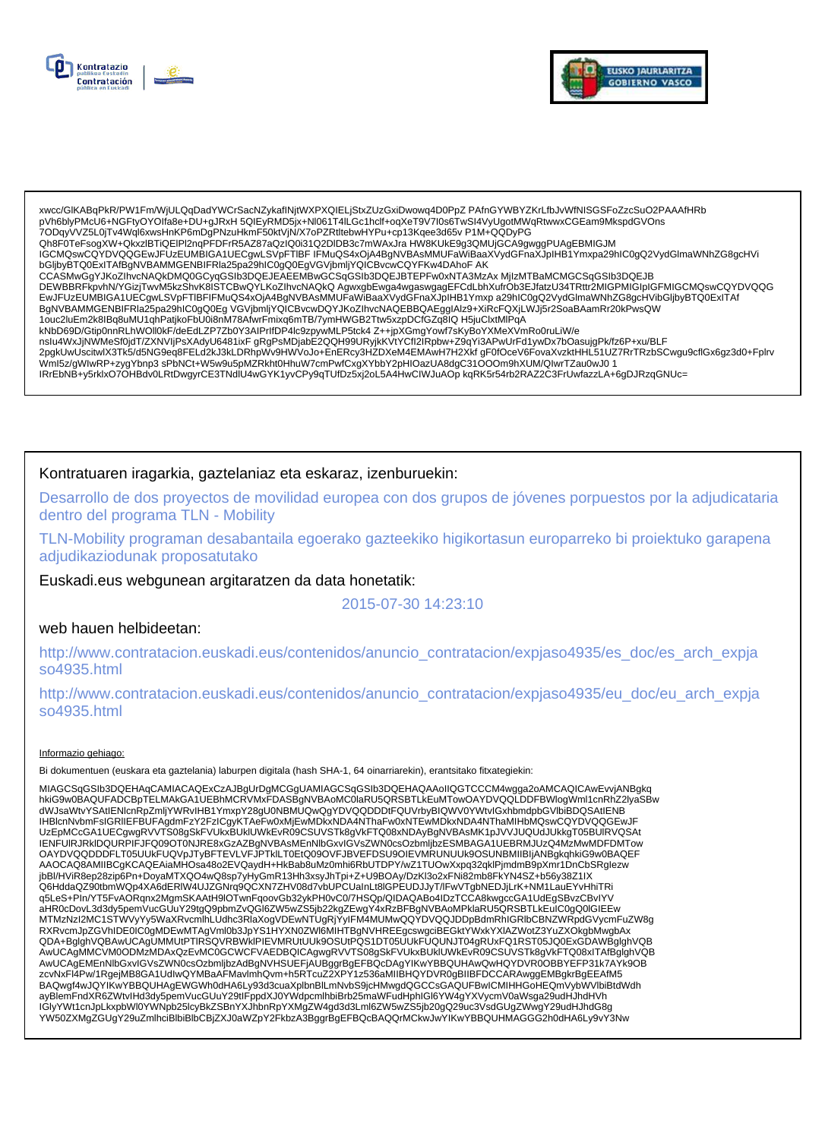



xwcc/GIKABqPkR/PW1Fm/WjULQqDadYWCrSacNZykafINjtWXPXQIELjStxZUzGxiDwowq4D0PpZ PAfnGYWBYZKrLfbJvWfNISGSFoZzcSuO2PAAAfHRb pVh6blyPMcU6+NGFtyOYOlfa8e+DU+gJRxH 5QIEyRMD5jx+Nl061T4ILGc1hclf+oqXeT9V7l0s6TwSl4VyUgotMWqRtwwxCGEam9MkspdGVOns 7ODqyVVZ5L0jTv4Wql6xwsHnKP6mDgPNzuHkmF50ktVjN/X7oPZRtltebwHYPu+cp13Kqee3d65vP1M+QQDyPG Qh8F0TeFsogXW+QkxzlBTiQEIPl2nqPFDFrR5AZ87aQzIQ0i31Q2DIDB3c7mWAxJra HW8KUkE9g3QMUjGCA9gwggPUAgEBMIGJM IGCMQswCQYDVQQGEwJFUzEUMBIGA1UECgwLSVpFTIBF IFMuQS4xOjA4BgNVBAsMMUFaWiBaaXVydGFnaXJpIHB1Ymxpa29hIC0gQ2VydGlmaWNhZG8gcHVi bGljbyBTQ0ExITAfBgNVBAMMGENBIFRIa25pa29hIC0gQ0EgVGVjbmljYQICBvcwCQYFKw4DAhoFAK CCASMwGgYJKoZIhvcNAQkDMQ0GCyqGSIb3DQEJEAEEMBwGCSqGSIb3DQEJBTEPFw0xNTA3MzAx MjlzMTBaMCMGCSqGSIb3DQEJB<br>DEWBBRFkpvhN/YGizjTwvM5kzShvK8ISTCBwQYLKoZIhvcNAQkQ AgwxgbEwga4wgaswgagEFCdLbhXufrOb3EJfatzU34TRttr2MIGPMIGIpIGFMIGCMQswC EWDDLEUMBIGA1UECgwLSVpFTIBFIFMuQS4x0jA4BgNVBAsMMUFaWiBaaXVydGFnaXJpIHB1Ymxp a29hIC0gQ2VydGlmaWNhZG8gcHVibGljbyBTQ0ExITAf<br>BgNVBAMMGENBIFRIa25pa29hIC0gQ0Eg VGVjbmljYQlCBvcwDQYJKoZIhvcNAQEBBQAEggIAlz9+XiRcFQXjLWJj5r2SoaBAamRr 1ouc2luEm2k8lBq8uMU1qhPatjkoFbU0i8nM78AfwrFmixq6mTB/7ymHWGB2Ttw5xzpDCfGZq8lQ H5juClxtMlPqA kNbD69D/Gtip0nnRLhWOll0kF/deEdLZP7Zb0Y3AIPrlfDP4Ic9zpywMLP5tck4 Z++jpXGmgYowf7sKyBoYXMeXVmRo0ruLiW/e nslu4WxJjNWMeSf0jdT/ZXNVIjPsXAdyU6481ixF gRgPsMDjabE2QQH99URyjkKVtYCfl2IRpbw+Z9qYi3APwUrFd1ywDx7bOasujgPk/fz6P+xu/BLF 2pgkUwUscitwlX3Tk5/d5NG9eq8FELd2kJ3kLDRhpWv9HWVoJo+EnERcy3HZDXeM4EMAwH7H2XkfgF0fOceV6FovaXvzktHHL51UZ7RrTRzbSCwgu9cflGx6gz3d0+Fplrv Wml5z/gWlwRP+zygYbnp3sPbNCt+W5w9u5pMZRkht0HhuW7cmPwfCxgXYbbY2pHlOazUA8dgC31OOOm9hXUM/QlwrTZau0wJ01 IRrEbNB+y5rklxO7OHBdv0LRtDwgyrCE3TNdlU4wGYK1yvCPy9qTUfDz5xj2oL5A4HwCIWJuAOp kqRK5r54rb2RAZ2C3FrUwfazzLA+6gDJRzqGNUc=

## Kontratuaren iragarkia, gaztelaniaz eta eskaraz, izenburuekin:

Desarrollo de dos proyectos de movilidad europea con dos grupos de jóvenes porpuestos por la adjudicataria dentro del programa TLN - Mobility

TLN-Mobility programan desabantaila egoerako gazteekiko higikortasun europarreko bi proiektuko garapena adjudikaziodunak proposatutako

Euskadi.eus webgunean argitaratzen da data honetatik:

# 2015-07-30 14:23:10

### web hauen helbideetan:

http://www.contratacion.euskadi.eus/contenidos/anuncio\_contratacion/expjaso4935/es\_doc/es\_arch\_expja so4935.html

http://www.contratacion.euskadi.eus/contenidos/anuncio\_contratacion/expjaso4935/eu\_doc/eu\_arch\_expja so4935.html

### Informazio gehiago:

Bi dokumentuen (euskara eta gaztelania) laburpen digitala (hash SHA-1, 64 oinarriarekin), erantsitako fitxategiekin:

MIAGCSqGSIb3DQEHAqCAMIACAQExCzAJBgUrDgMCGgUAMIAGCSqGSIb3DQEHAQAAoIIQGTCCCM4wgga2oAMCAQICAwEvvjANBgkq hkiG9w0BAQUFADCBpTELMAkGA1UEBhMCRVMxFDASBgNVBAoMC0laRU5QRSBTLkEuMTowOAYDVQQLDDFBWlogWml1cnRhZ2lyaSBw<br>dWJsaWtvYSAtIENlcnRpZmljYWRvlHB1YmxpY28gU0NBMUQwQgYDVQQDDDtFQUVrbyBIQWV0YWtvlGxhbmdpbGVlbiBDQSAtIENB IENFUIRJRkIDQURPIFJFQ09OT0NJRE8xGzAZBgNVBAsMEnNIbGxvIGVsZWN0csOzbmijbzESMBAGA1UEBRMJUzQ4MzMwMDFDMTow OAYDVQQDDDFLT05UUkFUQVpJTyBFTEVLVFJPTkILT0EtQ09OVFJBVEFDSU9OIEVMRUNUUk9OSUNBMIIBIjANBgkqhkiG9w0BAQEF AAOCAQ8AMIIBCgKCAQEAiaMHOsa48o2EVQaydH+HkBab8uMz0mhi6RbUTDPY/wZ1TUOwXxpq32qklPjmdmB9pXmr1DnCbSRglezw jbBl/HViR8ep28zip6Pn+DoyaMTXQO4wQ8sp7yHyGmR13Hh3xsyJhTpi+Z+U9BOAy/DzKl3o2xFNi82mb8FkYN4SZ+b56y38Z1IX Q6HddaQZ90tbmWQp4XA6dERIW4UJZGNrq9QCXN7ZHV08d7vbUPCUaInLt8lGPEUDJJyT/IFwVTgbNEDJjLrK+NM1LauEYvHhiTRi q5LeS+PIn/YT5FvAORqnx2MgmSKAAtH9lOTwnFqoovGb32ykPH0vC0/7HSQp/QIDAQABo4IDzTCCA8kwgccGA1UdEgSBvzCBvIYV aHR0cDovL3d3dy5pemVucGUuY29tgQ9pbmZvQGl6ZW5wZS5jb22kgZEwgY4xRzBFBgNVBAoMPklaRU5QRSBTLkEuIC0gQ0lGlEEw MTMzNzI2MC1STWVyYy5WaXRvcmlhLUdhc3RlaXogVDEwNTUgRjYyIFM4MUMwQQYDVQQJDDpBdmRhIGRlbCBNZWRpdGVycmFuZW8g RXRvcmJpZGVhIDE0IC0gMDEwMTAgVml0b3JpYS1HYXN0ZWleMIHTBgNVHREEgcswgciBEGktYWxkYXIAZWotZ3YuZXOkgbMwgbAx QDA+BglghVQBAwUCAgUMMUtPTIRSQVRBWkIPIEVMRUtUUk9OSUtPQS1DT05UUkFUQUNJT04gRUxFQ1RST05JQ0ExGDAWBglghVQB AwUCAgMMCVM0ODMzMDAxQzEvMC0GCWCFVAEDBQICAgwgRVVTS08gSkFVUkxBUkIUWkEvR09CSUVSTk8gVkFTQ08xITAfBglghVQB AwUCAgEMEnNlbGxvlGVsZWN0csOzbmljbzAdBgNVHSUEFjAUBggrBgEFBQcDAgYIKwYBBQUHAwQwHQYDVR0OBBYEFP31k7AYK9OB zcvNxFl4Pw/1RgejMB8GA1UdlwQYMBaAFMavlmhQvm+h5RTcuZ2XPY1z536aMIIBHQYDVR0gBIIBFDCCARAwggEMBgkrBgEEAfM5<br>BAQwgf4wJQYIKwYBBQUHAgEWGWh0dHA6Ly93d3cuaXplbnBlLmNvbS9jcHMwgdQGCCsGAQUFBwICMIHHGoHEQmVybWVlbiBtdWdh ے میں ہیں کہ ہیں۔ میں استعماد کے مطلب کے استعماد استعماد استعماد استعماد استعماد استعماد استعماد استعماد استعما<br>GiyYWt1cnJpLkxpbWl0YWNpb25lcyBkZSBnYXJhbnRpYXMgZW4gd3d3Lml6ZW5wZS5jb20gQ29uc3VsdGUgZWwgY29udHJhdG8g الزام ال YW50ZXMgZGUgY29uZmlhciBlbiBlbCBjZXJ0aWZpY2FkbzA3BggrBgEFBQcBAQQrMCkwJwYlKwYBBQUHMAGGG2h0dHA6Ly9vY3Nw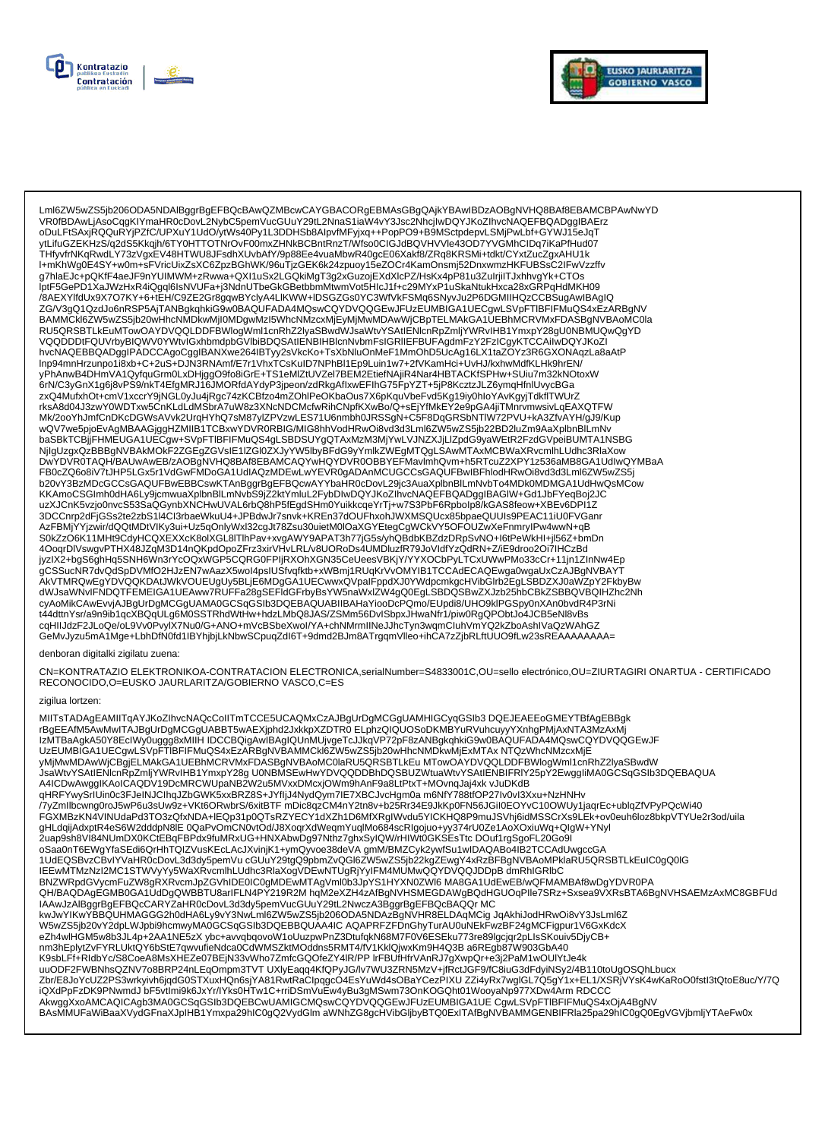



Lml6ZW5wZS5jb206ODA5NDAlBggrBgEFBQcBAwQZMBcwCAYGBACORgEBMAsGBgQAjkYBAwIBDzAOBgNVHQ8BAf8EBAMCBPAwNwYD VR0fBDAwLjAsoCqqKIYmaHR0cDovL2NybC5pemVucGUuY29tL2NnaS1iaW4vY3Jsc2NhcjIwDQYJKoZIhvcNAQEFBQADqqIBAErz oDuLFtSAxjRQQuRYjPZfC/UPXuY1UdO/ytWs40Py1L3DDHSb8AlpvfMFyjxq++PopPO9+B9MSctpdepvLSMjPwLbf+GYWJ15eJqT ytLifuGZEKHzS/q2dS5Kkqjh/6TY0HTTOTNrOvF00mxZHNkBCBntRnzT/Wfso0ClGJdBQVHVVle43OD7YVGMhClDq7iKaPfHud07 THfyvfrNKqRwdLY73zVgxEV48HTWU8JFsdhXUvbAfY/9p88Ee4vuaMbwR40gcE06Xakf8/ZRq8KRSMi+tdkt/CYxtZucZgxAHU1k l+mKhWg0E4SY+w0m+sFVricUixZsXC6ZpzBGhWK/96uTjzGEK6k24zpuoy15eZOCr4KamOnsmj52DnxwmzHKFUBSsC2IFwVzzffv g7hlaEJc+pQKfF4aeJF9nYUIMWM+zRwwa+QXI1uSx2LGQkiMgT3g2xGuzojEXdXlcPZ/HsKx4pP81u3ZuIrjiITJxhhvgYk+CTOs iptF5GePD1XaJWzHxR4iQgql6IsNVUFa+j3NdnUTbeGkGBetbbmMtwmVot5HlcJ1f+c29MYxP1uSkaNtukHxca28xGRPqHdMKH09 ры эсле с главующимся и стандительно постоянно постоянно с постании и постоянно постоянно постояния и поминител<br>По дель с постоянно постоянно постоянно постоянно постоянно с с постоянно постоянно постоянно постоянно пост BAMMCkl6ZW5wZS5jb20wHhcNMDkwMjI0MDgwMzI5WhcNMzcxMjEyMjMwMDAwWjCBpTELMAkGA1UEBhMCRVMxFDASBgNVBAoMC0la RU5QRSBTLkEuMTowOAYDVQQLDDFBWlogWml1cnRhZ2lyaSBwdWJsaWtvYSAtlENIcnRpZmljYWRvIHB1YmxpY28gU0NBMUQwQgYD VQQDDDtFQUVrbyBIQWV0YWtvlGxhbmdpbGVIbiBDQSAtIENBIHBIcnNvbmFsIGRIIEFBUFAgdmFzY2FzICgyKTCCAiIwDQYJKoZI hvcNAQEBBQADggIPADCCAgoCggIBANXwe264IBTyy2sVkcKo+TsXbNluOnMeF1MmOhD5UcAg16LX1taZOYz3R6GXONAqzLa8aAtP Inp94mnHrzunpo1i8xb+C+2uS+DJN3RNAmf/E7r1VhxTCsKuID7NPhBI1Ep9Luin1w7+2fVKamHci+UvHJ/kxhwMdfKLHk9hrEN/ yPhAnwB4DHmVA1QyfquGrm0LxDHjggO9fo8iGrE+TS1eMIZtUVZel7BEM2EtiefNAjiR4Nar4HBTACKfSPHw+SUiu7m32kNOtoxW rksA8d04J3zwY0WDTxw5CnKLdLdMSbrA7uW8z3XNcNDCMcfwRihCNpfKXwBo/Q+sEjYfMkEY2e9pGA4jiTMnrvmwsivLqEAXQTFW Mk/2ooYhJmfCnDKcDGWsAVvk2UrqHYhQ7sM87yIZPVzwLES71U6nmbh0JRSSgN+C5F8DqGRSbNTIW72PVU+kA3ZfvAYH/gJ9/Kup wQV7we5pjoEvAgMBAAGjggHZMIIB1TCBxwYDVR0RBIG/MIG8hhVodHRwOi8vď3d3Lml6ZW5wZS5jb22BD2luZm9AaXplbnBIĽmNv baSBkTCBjjFHMEUGA1UECgw+SVpFTIBFIFMuQS4gLSBDSUYgQTAxMzM3MjYwLVJNZXJjLlZpdG9yaWEtR2FzdGVpeiBUMTA1NSBG NjlgUzgxQzBBBgNVBAkMOKF2ZGEgZGVsIE1IZGl0ZXJyYW5lbyBFdG9yYmlkZWEgMTQgLSAwMTAxMCBWaXRvcmlhLUdhc3RlaXow<br>DwYDVR0TAQH/BAUwAwEB/zAOBgNVHQ8BAf8EBAMCAQYwHQYDVR0OBBYEFMavlmhQvm+h5RTcuZ2XPY1z536aMB8GA1UdlwQYMBaA KKAmoCSGImh0dHA6Ly9jcmwuaXplbnBlLmNvbS9jZ2ktYmluL2FybDIwDQYJKoZIhvcNAQEFBQADggIBAGIW+Gd1JbFYeqBoj2JC uzXJCnK5vzjo0nvcS53SaQGynbXNCHwUVAL6rbQ8hP5fEgdSHm0YuikkcqeYrTj+w7S3PbF6Rpbolp8/kGAS8feow+XBEv6DPI1Z 3DCCnrp2dFjGSs2te2zbS1I4Cl3rbaeWkuU4+JPBdwJr7snvk+KREn37dOUFhxonJWXMSQUcx85bpaeQUUIs9PEAC11iU0FVGanr AzFBMjYYjzwir/dQQtMDtVIKy3ui+Uz5qOnlyWxl32cgJt78Zsu30uietM0lOaXGYEtegCgWCkVY5OFOUZwXeFnmryIPw4wwN+qB S0kZzO6K11MHt9CdyHCQXEXXcK8olXGL8lTlhPav+xvgAWY9APAT3h77jG5s/yhQBdbKBZdzDRpSvNO+l6tPeWkHl+jl56Z+bmDn<br>4OoqrDlVswgvPTHX48JZqM3D14nQKpdOpoZFrz3xirVHvLRL/v8UORoDs4UMDluzfR79JoVldfYzQdRN+Z/iE9droo2Oi7lHCzBd 400qrDrvswgvr Tnx460zqrw5D14iiQrxDp2CDRC0FPliRXOhXGN35CeUeesVBKjY/YYXOCbPyLTCxUWwPMo33cCr+11jn1ZInNw4Ep<br>hyzIX2+bgS6ghHq5SNH6Wn3rYcOQxWGP5CQRG0FPIjRXOhXGN35CeUeesVBKjY/YYXOCbPyLTCxUWwPMo33cCr+11jn1ZInNw4Ep<br>gCSSucNR7dvQdSpDV cyAoMikCAwEvvjAJBgUrDgMCGgUAMA0GCSqGSIb3DQEBAQUABIIBAHaYiooDcPQmo/EUpdi8/UHO9klPGSpy0nXAn0bvdR4P3rNi t44dttnYsr/a9n9ib1qcXBQqULg6M0SSTRhdWtHw+hdzLMbQ8JAS/ZSMm56DvISbpxJHwaNfr1/piw0RgQPObtJo4JCB5eNl8vBs cqHIIJdzF2JLoQe/oL9Vv0PvylX7Nu0/G+ANO+mVcBSbeXwol/YA+chNMrmlINeJJhcTyn3wqmCluhVmYQ2kZboAshIVaQzWAhGZ<br>GeMvJyzu5mA1Mge+LbhDfN0fd1IBYhjbjLkNbwSCpuqZdl6T+9dmd2BJm8ATrgqmVlleo+ihCA7zZjbRLftUUO9fLw23sREAAAAAAAA=

#### denboran digitalki zigilatu zuena:

CN=KONTRATAZIO ELEKTRONIKOA-CONTRATACION ELECTRONICA,serialNumber=S4833001C,OU=sello electrónico,OU=ZIURTAGIRI ONARTUA - CERTIFICADO RECONOCIDO, O=EUSKO JAURLARITZA/GOBIERNO VASCO, C=ES

#### zigilua lortzen:

MIITsTADAgEAMIITqAYJKoZIhvcNAQcCoIITmTCCE5UCAQMxCzAJBgUrDgMCGgUAMHIGCyqGSIb3 DQEJEAEEoGMEYTBfAgEBBgk<br>rBgEEAfM5AwMwITAJBgUrDgMCGgUABBT5wAEXjphd2JxkkpXZDTR0 ELphzQIQUOSoDKMBYuRVuhcuyyYXnhgPMjAxNTA3MzAxMj IzMTBaAgkA50Y8EcIWyŎuggğ8xMIIH IDCCBQigAwIBAgIQUnMUjvgeTcJJkqVP72pF8zANBgkqhkiG9w0BAQUFADA4MQswCQYDVQQGEwJF UzEUMBĬGA1UECgwLŚVpFTĬBFIFMuQS4xEzAŘBgNVBAMMCkI6ZW5wZS5jb20wHhcNMDKwMjExMTAx NTQzWhcNMzcxMjE yMjMwMDAwWjCBgjELMAkGA1UEBhMCRVMxFDASBgNVBAoMC0laRU5QRSBTLkEu MTowOAYDVQQLDDFBWlogWml1cnRhZ2lyaSBwdW JsaWtvYSAtlENicnRpZmljYWRvIHB1YmxpY28gU0NBMSEwHwYDVQQDDBhDQSBUZWtuaWtvYSAtlENBIFRIY25pY2EwggliMA0GCSqGSIb3DQEBAQUA A4ICDwAwgglKAoICAQDV19DcMRCWUpaNB2W2u5MVxxDMcxjOWm9hAnF9a8LtPtxT+MOvnqJaj4xk vJuDKdB<br>qHRFYwySrlUin0c3FJelNJClhqJZbGWK5xxBRZ8S+JYfljJ4NydQym7IE7XBCJvcHgm0a m6NfY788tfOP27lv0vl3Xxu+NzHNHv /<br>/7yZmllbcwnq0roJ5wP6u3sUw9z+VKt6ORwbrS/6xitBTF mDic8qzCM4nY2tn8v+b25Rr34E9JkKp0FN56JGiI0EOYvC10OWUy1jaqrEc+ublqZfVPyPQcWi40 FGXMBzKN4VINUdaPd3TO3zQfxNDA+IEQp31p0QTsRZYECY1dXZh1D6MfXRglWvdu5YICKHQ8P9muJSVhj6idMSSCrXs9LEk+ov0euh6loz8bkpVTYUe2r3od/uila QH/BAQDAgEGMB0GA1UdDgQWBBTU8arIFLN4PY219R2M hqM2eXZH4zAfBgNVHSMEGDAWgBQdHGUOqPlle7SRz+Sxsea9VXRsBTA6BgNVHSAEMzAxMC8GBFUd IAAwJzAlBggrBgEFBQcCARYZaHR0cDovL3d3dy5pemVucGUuY29tL2NwczA3BggrBgEFBQcBAQQrMC eZh4wlHGM5w8b3JL4p+2AA1NE5zX ybc+avvqbqovoW1oUuzpwPnZ3DtufqkN68M7F0V6ESEku773re89lgcjqr2pLlsSKouiv5DjyCB+ -mm3hEplytZvFYRLUktQY6bStE7qwvufieNdca0CdWMSZktMOddns5RMT4/fV1KklQjwxKm9H4Q3Ba6REgb87W903GbA40<br>K9sbLFf+RIdbYc/S8CoeA8MsXHEZe07BEjN33vWho7ZmfcGQOfeZY4lR/PP IrFBUfHfrVAnRJ7gXwpQr+e3j2PaM1wOUIYtJe4k<br>uuODF2FWBNhsQZNV7o8BRP24nL Zbr/E8JoYcUZ2PS3wrkyivh6jqdG0STXuxHQn6sjYA81RwtRaClpqgcO4EsYuWd4sOBaYCezPIXU ZZi4yRx7wglGL7Q5gY1x+EL1/XSRjVYsK4wKaRoO0fstl3tQtoE8uc/Y/7Q<br>iQXdPpFzDK9PNwmdJ bF5vtlmi9k6JxYr/lYks0HTw1C+rriDSmVuEw4yBu3gMSwm73OnKOGQht01WooyaNp9 AkwggXxoAMCAQICAgb3MA0GCSqGSIb3DQEBCwUAMIGCMQswCQYDVQQGEwJFUzEUMBIGA1UE CgwLSVpFTIBFIFMuQS4xOjA4BgNV BAsMMUFaWiBaaXVydGFnaXJplHB1Ymxpa29hlC0gQ2VydGlm aWNhZG8gcHVibGljbyBTQ0ExITAfBgNVBAMMGENBIFRla25pa29hlC0gQ0EgVGVjbmljYTAeFw0x